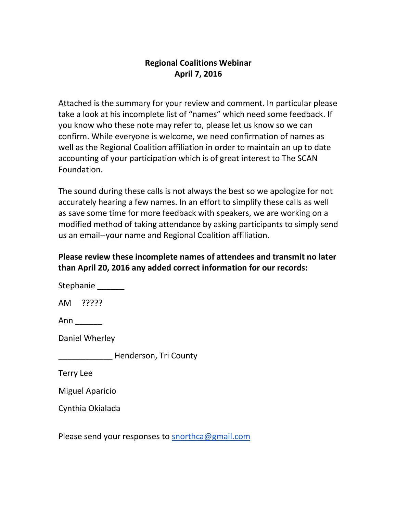## **Regional Coalitions Webinar April 7, 2016**

Attached is the summary for your review and comment. In particular please take a look at his incomplete list of "names" which need some feedback. If you know who these note may refer to, please let us know so we can confirm. While everyone is welcome, we need confirmation of names as well as the Regional Coalition affiliation in order to maintain an up to date accounting of your participation which is of great interest to The SCAN Foundation.

The sound during these calls is not always the best so we apologize for not accurately hearing a few names. In an effort to simplify these calls as well as save some time for more feedback with speakers, we are working on a modified method of taking attendance by asking participants to simply send us an email--your name and Regional Coalition affiliation.

## **Please review these incomplete names of attendees and transmit no later than April 20, 2016 any added correct information for our records:**

Stephanie \_\_\_\_\_\_\_

AM ?????

Ann \_\_\_\_\_\_

Daniel Wherley

\_\_\_\_\_\_\_\_\_\_\_\_ Henderson, Tri County

Terry Lee

Miguel Aparicio

Cynthia Okialada

Please send your responses to [snorthca@gmail.com](mailto:snorthca@gmail.com)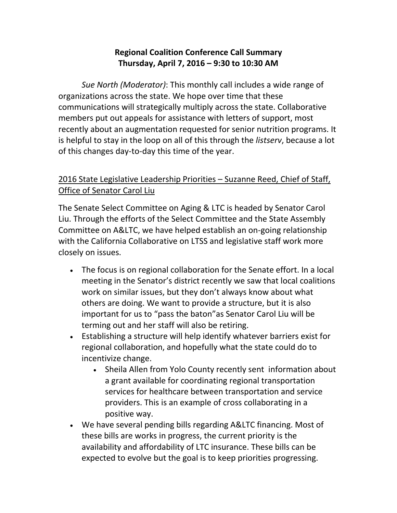# **Regional Coalition Conference Call Summary Thursday, April 7, 2016 – 9:30 to 10:30 AM**

*Sue North (Moderator)*: This monthly call includes a wide range of organizations across the state. We hope over time that these communications will strategically multiply across the state. Collaborative members put out appeals for assistance with letters of support, most recently about an augmentation requested for senior nutrition programs. It is helpful to stay in the loop on all of this through the *listserv*, because a lot of this changes day-to-day this time of the year.

# 2016 State Legislative Leadership Priorities – Suzanne Reed, Chief of Staff, Office of Senator Carol Liu

The Senate Select Committee on Aging & LTC is headed by Senator Carol Liu. Through the efforts of the Select Committee and the State Assembly Committee on A&LTC, we have helped establish an on-going relationship with the California Collaborative on LTSS and legislative staff work more closely on issues.

- The focus is on regional collaboration for the Senate effort. In a local meeting in the Senator's district recently we saw that local coalitions work on similar issues, but they don't always know about what others are doing. We want to provide a structure, but it is also important for us to "pass the baton"as Senator Carol Liu will be terming out and her staff will also be retiring.
- Establishing a structure will help identify whatever barriers exist for regional collaboration, and hopefully what the state could do to incentivize change.
	- Sheila Allen from Yolo County recently sent information about a grant available for coordinating regional transportation services for healthcare between transportation and service providers. This is an example of cross collaborating in a positive way.
- We have several pending bills regarding A&LTC financing. Most of these bills are works in progress, the current priority is the availability and affordability of LTC insurance. These bills can be expected to evolve but the goal is to keep priorities progressing.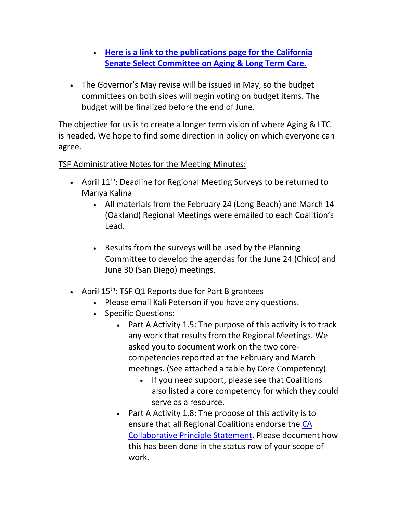- **[Here is a link to the publications page for the California](http://senate.ca.gov/schedulespublications)  [Senate Select Committee on Aging & Long Term Care.](http://senate.ca.gov/schedulespublications)**
- The Governor's May revise will be issued in May, so the budget committees on both sides will begin voting on budget items. The budget will be finalized before the end of June.

The objective for us is to create a longer term vision of where Aging & LTC is headed. We hope to find some direction in policy on which everyone can agree.

### TSF Administrative Notes for the Meeting Minutes:

- April  $11<sup>th</sup>$ : Deadline for Regional Meeting Surveys to be returned to Mariya Kalina
	- All materials from the February 24 (Long Beach) and March 14 (Oakland) Regional Meetings were emailed to each Coalition's Lead.
	- Results from the surveys will be used by the Planning Committee to develop the agendas for the June 24 (Chico) and June 30 (San Diego) meetings.
- April  $15^{th}$ : TSF Q1 Reports due for Part B grantees
	- Please email Kali Peterson if you have any questions.
	- Specific Questions:
		- Part A Activity 1.5: The purpose of this activity is to track any work that results from the Regional Meetings. We asked you to document work on the two corecompetencies reported at the February and March meetings. (See attached a table by Core Competency)
			- If you need support, please see that Coalitions also listed a core competency for which they could serve as a resource.
		- $\bullet$  Part A Activity 1.8: The propose of this activity is to ensure that all Regional Coalitions endorse the [CA](http://www.ccltss.org/about/our-guiding-principles/)  [Collaborative Principle Statement.](http://www.ccltss.org/about/our-guiding-principles/) Please document how this has been done in the status row of your scope of work.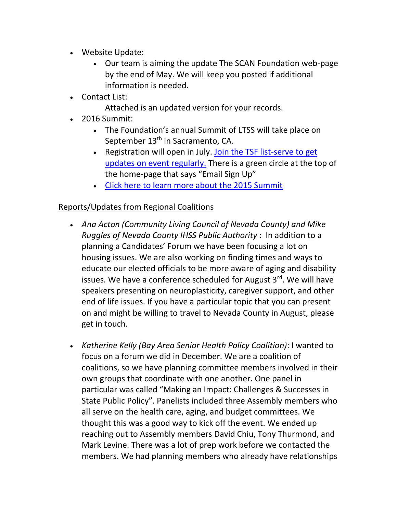- Website Update:
	- Our team is aiming the update The SCAN Foundation web-page by the end of May. We will keep you posted if additional information is needed.
- Contact List:
	- Attached is an updated version for your records.
- 2016 Summit:
	- The Foundation's annual Summit of LTSS will take place on September 13<sup>th</sup> in Sacramento, CA.
	- Registration will open in July. Join the TSF list-serve to get [updates on event regularly.](http://www.thescanfoundation.org/perspectives-navigating-change-toward-person-centered-care-themes-2015-ca-summit-ltss) There is a green circle at the top of the home-page that says "Email Sign Up"
	- [Click here to learn more about the 2015 Summit](http://www.thescanfoundation.org/perspectives-navigating-change-toward-person-centered-care-themes-2015-ca-summit-ltss)

# Reports/Updates from Regional Coalitions

- *Ana Acton (Community Living Council of Nevada County) and Mike Ruggles of Nevada County IHSS Public Authority* : In addition to a planning a Candidates' Forum we have been focusing a lot on housing issues. We are also working on finding times and ways to educate our elected officials to be more aware of aging and disability issues. We have a conference scheduled for August  $3<sup>rd</sup>$ . We will have speakers presenting on neuroplasticity, caregiver support, and other end of life issues. If you have a particular topic that you can present on and might be willing to travel to Nevada County in August, please get in touch.
- *Katherine Kelly (Bay Area Senior Health Policy Coalition)*: I wanted to focus on a forum we did in December. We are a coalition of coalitions, so we have planning committee members involved in their own groups that coordinate with one another. One panel in particular was called "Making an Impact: Challenges & Successes in State Public Policy". Panelists included three Assembly members who all serve on the health care, aging, and budget committees. We thought this was a good way to kick off the event. We ended up reaching out to Assembly members David Chiu, Tony Thurmond, and Mark Levine. There was a lot of prep work before we contacted the members. We had planning members who already have relationships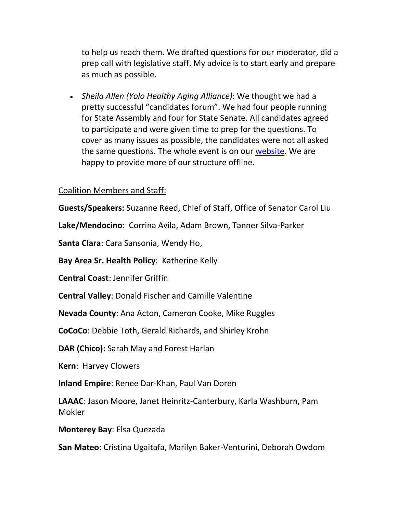to help us reach them. We drafted questions for our moderator, did a prep call with legislative staff. My advice is to start early and prepare as much as possible.

 *Sheila Allen (Yolo Healthy Aging Alliance)*: We thought we had a pretty successful "candidates forum". We had four people running for State Assembly and four for State Senate. All candidates agreed to participate and were given time to prep for the questions. To cover as many issues as possible, the candidates were not all asked the same questions. The whole event is on our [website.](http://yolohealthyaging.org/) We are happy to provide more of our structure offline.

#### Coalition Members and Staff:

**Guests/Speakers:** Suzanne Reed, Chief of Staff, Office of Senator Carol Liu

**Lake/Mendocino**: Corrina Avila, Adam Brown, Tanner Silva-Parker

**Santa Clara**: Cara Sansonia, Wendy Ho,

**Bay Area Sr. Health Policy**: Katherine Kelly

**Central Coast**: Jennifer Griffin

**Central Valley**: Donald Fischer and Camille Valentine

**Nevada County**: Ana Acton, Cameron Cooke, Mike Ruggles

**CoCoCo**: Debbie Toth, Gerald Richards, and Shirley Krohn

**DAR (Chico):** Sarah May and Forest Harlan

**Kern**: Harvey Clowers

**Inland Empire**: Renee Dar-Khan, Paul Van Doren

**LAAAC**: Jason Moore, Janet Heinritz-Canterbury, Karla Washburn, Pam Mokler

**Monterey Bay**: Elsa Quezada

**San Mateo**: Cristina Ugaitafa, Marilyn Baker-Venturini, Deborah Owdom